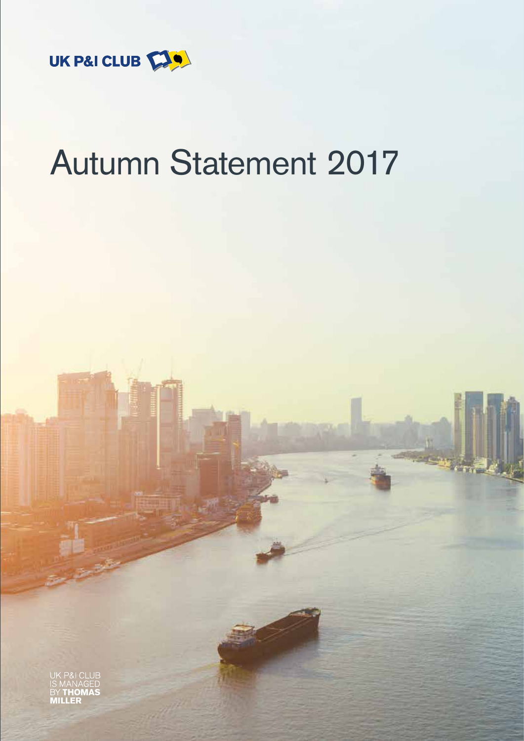

# Autumn Statement 2017

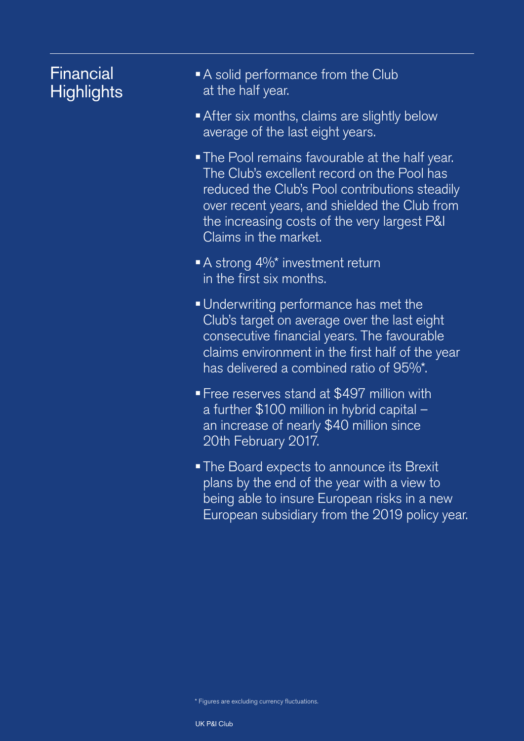# Financial **Highlights**

- A solid performance from the Club at the half year.
- After six months, claims are slightly below average of the last eight years.
- The Pool remains favourable at the half year. The Club's excellent record on the Pool has reduced the Club's Pool contributions steadily over recent years, and shielded the Club from the increasing costs of the very largest P&I Claims in the market.
- A strong 4%\* investment return in the first six months.
- Underwriting performance has met the Club's target on average over the last eight consecutive financial years. The favourable claims environment in the first half of the year has delivered a combined ratio of 95%\*.
- Free reserves stand at \$497 million with a further \$100 million in hybrid capital – an increase of nearly \$40 million since 20th February 2017.
- The Board expects to announce its Brexit plans by the end of the year with a view to being able to insure European risks in a new European subsidiary from the 2019 policy year.

\* Figures are excluding currency fluctuations.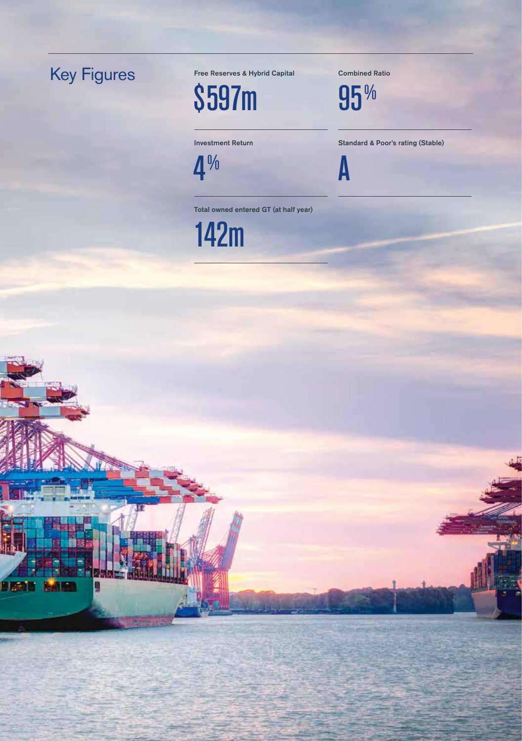# Key Figures

**BRAN KAM** 

П

Free Reserves & Hybrid Capital Combined Ratio

\$597m 95%

 $4\%$  A

Investment Return Standard & Poor's rating (Stable)

Total owned entered GT (at half year)

142m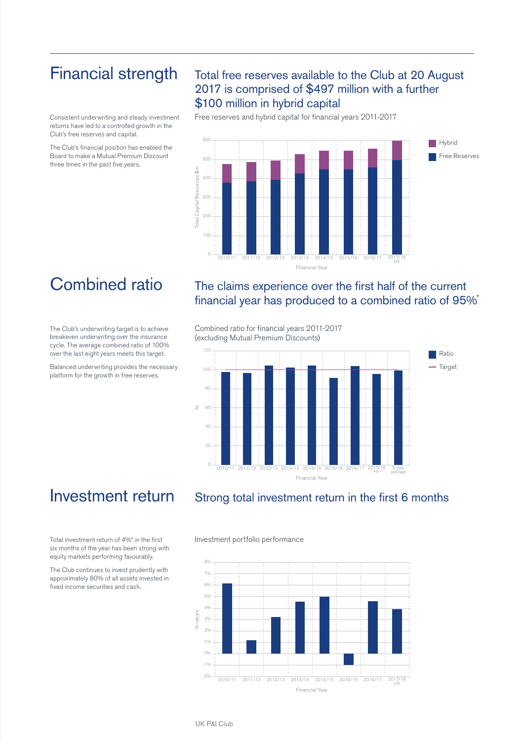### Financial strength

Consistent underwriting and steady investment returns have led to a controlled growth in the Club's free reserves and capital.

The Club's financial position has enabled the Board to make a Mutual Premium Discount three times in the past five years.

### Total free reserves available to the Club at 20 August 2017 is comprised of \$497 million with a further \$100 million in hybrid capital

Free reserves and hybrid capital for financial years 2011-2017



# Combined ratio

The Club's underwriting target is to achieve breakeven underwriting over the insurance cycle. The average combined ratio of 100% over the last eight years meets this target.

Balanced underwriting provides the necessary platform for the growth in free reserves.

### The claims experience over the first half of the current financial year has produced to a combined ratio of 95%\*

Combined ratio for financial years 2011-2017 (excluding Mutual Premium Discounts)



### Investment return

Total investment return of 4%\* in the first six months of the year has been strong with equity markets performing favourably.

The Club continues to invest prudently with approximately 80% of all assets invested in fixed income securities and cash.

### Strong total investment return in the first 6 months

#### Investment portfolio performance

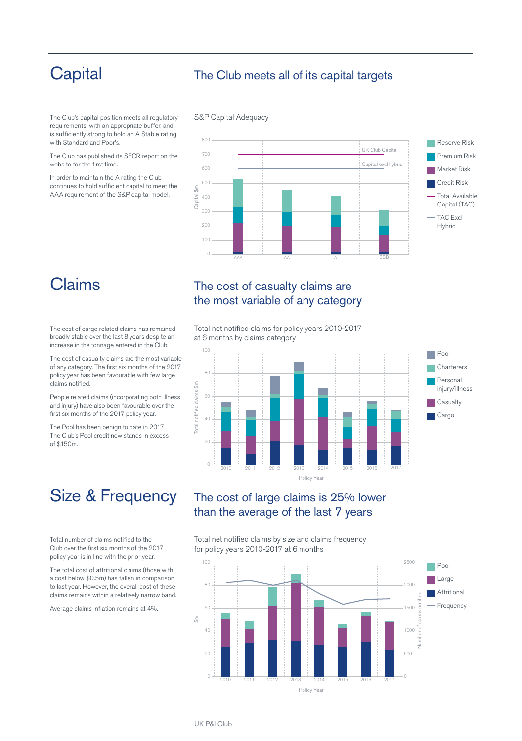# **Capital**

### The Club meets all of its capital targets

The Club's capital position meets all regulatory requirements, with an appropriate buffer, and is sufficiently strong to hold an A Stable rating with Standard and Poor's.

The Club has published its SFCR report on the website for the first time.

In order to maintain the A rating the Club continues to hold sufficient capital to meet the AAA requirement of the S&P capital model.

#### S&P Capital Adequacy



## Claims

The cost of cargo related claims has remained broadly stable over the last 8 years despite an increase in the tonnage entered in the Club.

The cost of casualty claims are the most variable of any category. The first six months of the 2017 policy year has been favourable with few large claims notified.

People related claims (incorporating both illness and injury) have also been favourable over the first six months of the 2017 policy year.

The Pool has been benign to date in 2017. The Club's Pool credit now stands in excess of \$150m.

# Size & Frequency

Total number of claims notified to the Club over the first six months of the 2017 policy year is in line with the prior year.

The total cost of attritional claims (those with a cost below \$0.5m) has fallen in comparison to last year. However, the overall cost of these claims remains within a relatively narrow band.

Average claims inflation remains at 4%.

### The cost of casualty claims are the most variable of any category

Total net notified claims for policy years 2010-2017 at 6 months by claims category



### The cost of large claims is 25% lower than the average of the last 7 years

Total net notified claims by size and claims frequency for policy years 2010-2017 at 6 months